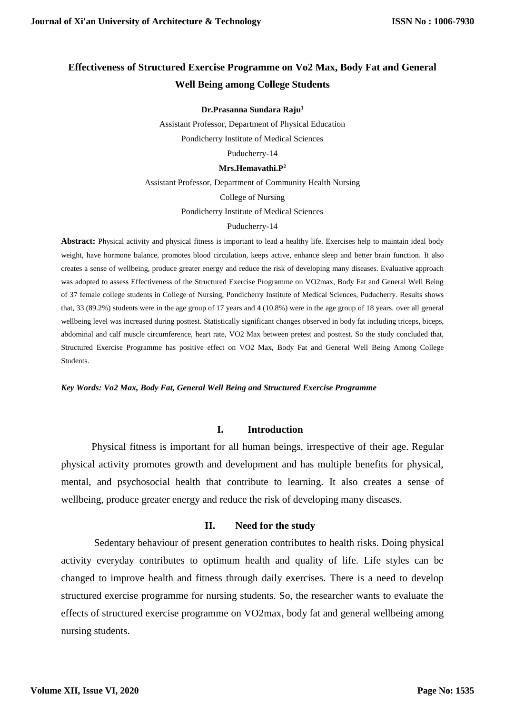# **Effectiveness of Structured Exercise Programme on Vo2 Max, Body Fat and General Well Being among College Students**

**Dr.Prasanna Sundara Raju 1**

Assistant Professor, Department of Physical Education

Pondicherry Institute of Medical Sciences

Puducherry-14

#### **Mrs.Hemavathi.P<sup>2</sup>**

Assistant Professor, Department of Community Health Nursing

College of Nursing

Pondicherry Institute of Medical Sciences

#### Puducherry-14

Abstract: Physical activity and physical fitness is important to lead a healthy life. Exercises help to maintain ideal body weight, have hormone balance, promotes blood circulation, keeps active, enhance sleep and better brain function. It also creates a sense of wellbeing, produce greater energy and reduce the risk of developing many diseases. Evaluative approach was adopted to assess Effectiveness of the Structured Exercise Programme on VO2max, Body Fat and General Well Being of 37 female college students in College of Nursing, Pondicherry Institute of Medical Sciences, Puducherry. Results shows that, 33 (89.2%) students were in the age group of 17 years and 4 (10.8%) were in the age group of 18 years. over all general wellbeing level was increased during posttest. Statistically significant changes observed in body fat including triceps, biceps, abdominal and calf muscle circumference, heart rate, VO2 Max between pretest and posttest. So the study concluded that, Structured Exercise Programme has positive effect on VO2 Max, Body Fat and General Well Being Among College Students.

*Key Words: Vo2 Max, Body Fat, General Well Being and Structured Exercise Programme*

#### **I. Introduction**

Physical fitness is important for all human beings, irrespective of their age. Regular physical activity promotes growth and development and has multiple benefits for physical, mental, and psychosocial health that contribute to learning. It also creates a sense of wellbeing, produce greater energy and reduce the risk of developing many diseases.

### **II. Need for the study**

Sedentary behaviour of present generation contributes to health risks. Doing physical activity everyday contributes to optimum health and quality of life. Life styles can be changed to improve health and fitness through daily exercises. There is a need to develop structured exercise programme for nursing students. So, the researcher wants to evaluate the effects of structured exercise programme on VO2max, body fat and general wellbeing among nursing students.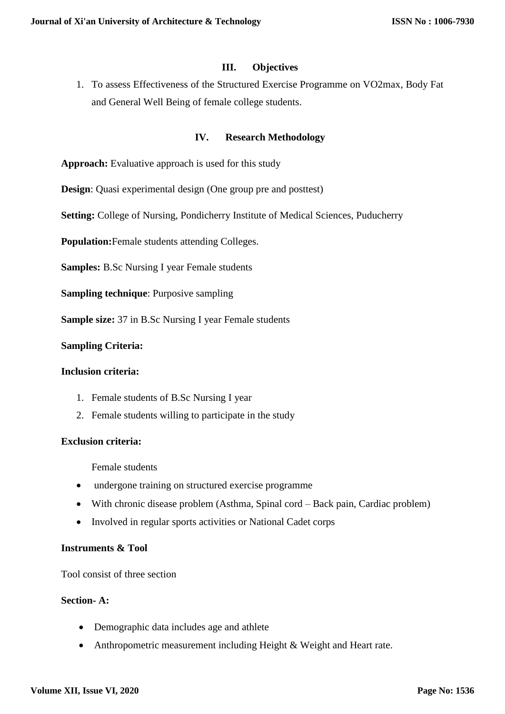### **III. Objectives**

1. To assess Effectiveness of the Structured Exercise Programme on VO2max, Body Fat and General Well Being of female college students.

### **IV. Research Methodology**

Approach: Evaluative approach is used for this study

**Design**: Quasi experimental design (One group pre and posttest)

**Setting:** College of Nursing, Pondicherry Institute of Medical Sciences, Puducherry

**Population:**Female students attending Colleges.

**Samples:** B.Sc Nursing I year Female students

**Sampling technique**: Purposive sampling

**Sample size:** 37 in B.Sc Nursing I year Female students

#### **Sampling Criteria:**

#### **Inclusion criteria:**

- 1. Female students of B.Sc Nursing I year
- 2. Female students willing to participate in the study

#### **Exclusion criteria:**

Female students

- undergone training on structured exercise programme
- With chronic disease problem (Asthma, Spinal cord Back pain, Cardiac problem)
- Involved in regular sports activities or National Cadet corps

#### **Instruments & Tool**

Tool consist of three section

# **Section- A:**

- Demographic data includes age and athlete
- Anthropometric measurement including Height & Weight and Heart rate.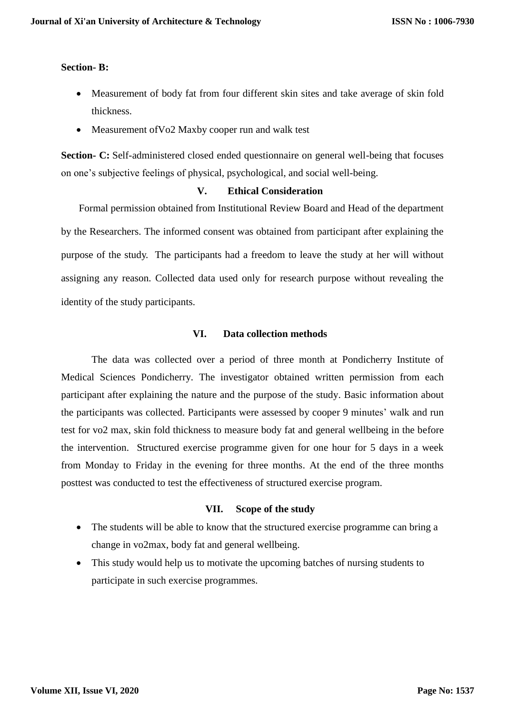#### **Section- B:**

- Measurement of body fat from four different skin sites and take average of skin fold thickness.
- Measurement of Vo2 Maxby cooper run and walk test

**Section- C:** Self-administered closed ended questionnaire on general well-being that focuses on one's subjective feelings of physical, psychological, and social well-being.

#### **V. Ethical Consideration**

 Formal permission obtained from Institutional Review Board and Head of the department by the Researchers. The informed consent was obtained from participant after explaining the purpose of the study. The participants had a freedom to leave the study at her will without assigning any reason. Collected data used only for research purpose without revealing the identity of the study participants.

#### **VI. Data collection methods**

The data was collected over a period of three month at Pondicherry Institute of Medical Sciences Pondicherry. The investigator obtained written permission from each participant after explaining the nature and the purpose of the study. Basic information about the participants was collected. Participants were assessed by cooper 9 minutes' walk and run test for vo2 max, skin fold thickness to measure body fat and general wellbeing in the before the intervention. Structured exercise programme given for one hour for 5 days in a week from Monday to Friday in the evening for three months. At the end of the three months posttest was conducted to test the effectiveness of structured exercise program.

### **VII. Scope of the study**

- The students will be able to know that the structured exercise programme can bring a change in vo2max, body fat and general wellbeing.
- This study would help us to motivate the upcoming batches of nursing students to participate in such exercise programmes.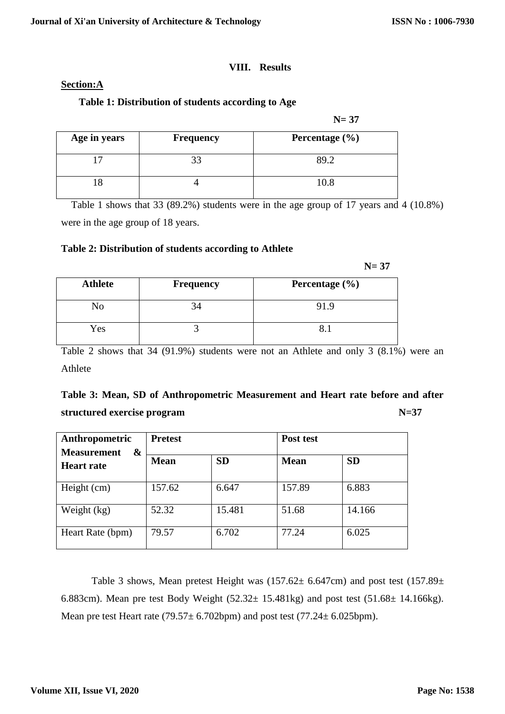### **VIII. Results**

#### **Section:A**

### **Table 1: Distribution of students according to Age**

 **N= 37**

| Age in years | <b>Frequency</b> | Percentage $(\% )$ |
|--------------|------------------|--------------------|
|              |                  |                    |
|              |                  | 10.8               |

Table 1 shows that 33 (89.2%) students were in the age group of 17 years and 4 (10.8%) were in the age group of 18 years.

### **Table 2: Distribution of students according to Athlete**

 **N= 37**

| <b>Athlete</b> | <b>Frequency</b> | Percentage $(\% )$ |
|----------------|------------------|--------------------|
| No             |                  | 91.9               |
| Yes            |                  |                    |

Table 2 shows that 34 (91.9%) students were not an Athlete and only 3 (8.1%) were an Athlete

# **Table 3: Mean, SD of Anthropometric Measurement and Heart rate before and after structured exercise program N=37**

| Anthropometric<br>&<br><b>Measurement</b> | <b>Pretest</b> |           | Post test   |           |  |
|-------------------------------------------|----------------|-----------|-------------|-----------|--|
| <b>Heart rate</b>                         | <b>Mean</b>    | <b>SD</b> | <b>Mean</b> | <b>SD</b> |  |
| Height (cm)                               | 157.62         | 6.647     | 157.89      | 6.883     |  |
| Weight $(kg)$                             | 52.32          | 15.481    | 51.68       | 14.166    |  |
| Heart Rate (bpm)                          | 79.57          | 6.702     | 77.24       | 6.025     |  |

Table 3 shows, Mean pretest Height was  $(157.62 \pm 6.647$ cm) and post test  $(157.89 \pm 1.677)$ 6.883cm). Mean pre test Body Weight  $(52.32 \pm 15.481 \text{kg})$  and post test  $(51.68 \pm 14.166 \text{kg})$ . Mean pre test Heart rate  $(79.57 \pm 6.702$ bpm) and post test  $(77.24 \pm 6.025$ bpm).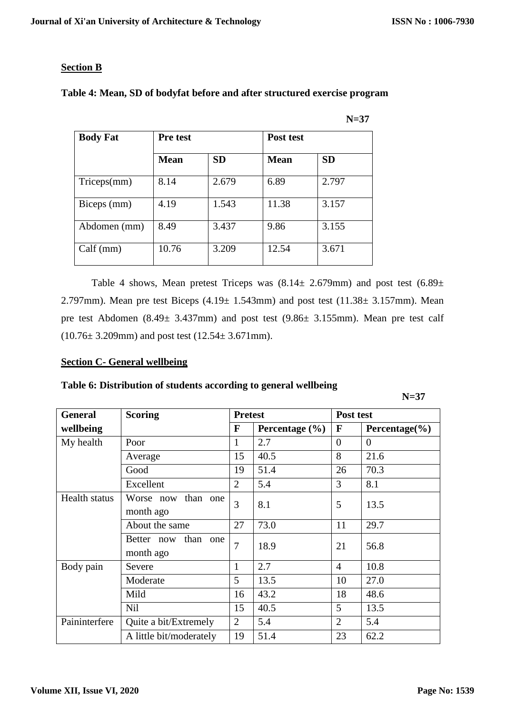# **Section B**

| <b>Body Fat</b> | <b>Pre test</b> |           | Post test   |           |
|-----------------|-----------------|-----------|-------------|-----------|
|                 | <b>Mean</b>     | <b>SD</b> | <b>Mean</b> | <b>SD</b> |
| Triceps(mm)     | 8.14            | 2.679     | 6.89        | 2.797     |
| Biceps (mm)     | 4.19            | 1.543     | 11.38       | 3.157     |
| Abdomen (mm)    | 8.49            | 3.437     | 9.86        | 3.155     |
| Calf(mm)        | 10.76           | 3.209     | 12.54       | 3.671     |

# **Table 4: Mean, SD of bodyfat before and after structured exercise program**

 **N=37**

Table 4 shows, Mean pretest Triceps was  $(8.14 \pm 2.679$ mm) and post test  $(6.89 \pm 1.679)$ 2.797mm). Mean pre test Biceps  $(4.19 \pm 1.543$ mm) and post test  $(11.38 \pm 3.157$ mm). Mean pre test Abdomen (8.49± 3.437mm) and post test (9.86± 3.155mm). Mean pre test calf (10.76± 3.209mm) and post test (12.54± 3.671mm).

### **Section C- General wellbeing**

# **Table 6: Distribution of students according to general wellbeing**

 **N=37**

| <b>General</b> | <b>Scoring</b>                   | <b>Pretest</b> |                    | Post test      |                    |  |
|----------------|----------------------------------|----------------|--------------------|----------------|--------------------|--|
| wellbeing      |                                  | F              | Percentage $(\% )$ | F              | Percentage $(\% )$ |  |
| My health      | Poor                             | 1              | 2.7                | $\Omega$       | $\theta$           |  |
|                | Average                          | 15             | 40.5               | 8              | 21.6               |  |
|                | Good                             | 19             | 51.4               | 26             | 70.3               |  |
|                | Excellent                        | $\overline{2}$ | 5.4                | 3              | 8.1                |  |
| Health status  | Worse now than one<br>month ago  | 3              | 8.1                | 5              | 13.5               |  |
|                | About the same                   | 27             | 73.0               | 11             | 29.7               |  |
|                | Better now than one<br>month ago | $\overline{7}$ | 18.9               | 21             | 56.8               |  |
| Body pain      | Severe                           | $\mathbf{1}$   | 2.7                | $\overline{4}$ | 10.8               |  |
|                | Moderate                         | 5              | 13.5               | 10             | 27.0               |  |
|                | Mild                             | 16             | 43.2               | 18             | 48.6               |  |
|                | <b>Nil</b>                       | 15             | 40.5               | 5              | 13.5               |  |
| Paininterfere  | Quite a bit/Extremely            | $\overline{2}$ | 5.4                | $\overline{2}$ | 5.4                |  |
|                | A little bit/moderately          | 19             | 51.4               | 23             | 62.2               |  |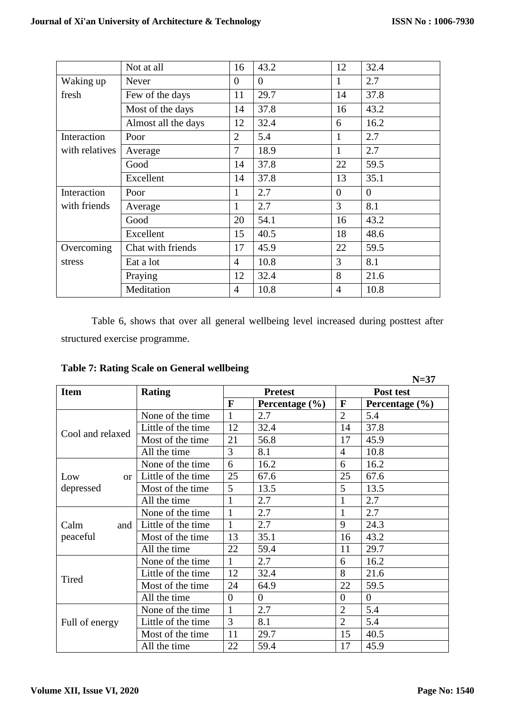|                | Not at all          | 16             | 43.2     | 12       | 32.4     |
|----------------|---------------------|----------------|----------|----------|----------|
| Waking up      | <b>Never</b>        | $\overline{0}$ | $\theta$ | 1        | 2.7      |
| fresh          | Few of the days     | 11             | 29.7     | 14       | 37.8     |
|                | Most of the days    | 14             | 37.8     | 16       | 43.2     |
|                | Almost all the days | 12             | 32.4     | 6        | 16.2     |
| Interaction    | Poor                | $\overline{2}$ | 5.4      | 1        | 2.7      |
| with relatives | Average             | $\overline{7}$ | 18.9     | 1        | 2.7      |
|                | Good                | 14             | 37.8     | 22       | 59.5     |
|                | Excellent           | 14             | 37.8     | 13       | 35.1     |
| Interaction    | Poor                | 1              | 2.7      | $\Omega$ | $\theta$ |
| with friends   | Average             | 1              | 2.7      | 3        | 8.1      |
|                | Good                | 20             | 54.1     | 16       | 43.2     |
|                | Excellent           | 15             | 40.5     | 18       | 48.6     |
| Overcoming     | Chat with friends   | 17             | 45.9     | 22       | 59.5     |
| stress         | Eat a lot           | $\overline{4}$ | 10.8     | 3        | 8.1      |
|                | Praying             | 12             | 32.4     | 8        | 21.6     |
|                | Meditation          | $\overline{4}$ | 10.8     | 4        | 10.8     |

Table 6, shows that over all general wellbeing level increased during posttest after structured exercise programme.

|                        |                    |                |                    |                | $N=37$             |
|------------------------|--------------------|----------------|--------------------|----------------|--------------------|
| <b>Item</b>            | <b>Rating</b>      |                | <b>Pretest</b>     |                | Post test          |
|                        |                    | F              | Percentage $(\% )$ | F              | Percentage $(\% )$ |
|                        | None of the time   | 1              | 2.7                | $\overline{2}$ | 5.4                |
| Cool and relaxed       | Little of the time | 12             | 32.4               | 14             | 37.8               |
|                        | Most of the time   | 21             | 56.8               | 17             | 45.9               |
|                        | All the time       | 3              | 8.1                | $\overline{4}$ | 10.8               |
|                        | None of the time   | 6              | 16.2               | 6              | 16.2               |
| Low<br>or <sub>l</sub> | Little of the time | 25             | 67.6               | 25             | 67.6               |
| depressed              | Most of the time   | 5              | 13.5               | 5              | 13.5               |
|                        | All the time       | $\mathbf{1}$   | 2.7                |                | 2.7                |
|                        | None of the time   | $\mathbf{1}$   | 2.7                | $\mathbf{1}$   | 2.7                |
| Calm<br>and 1          | Little of the time | 1              | 2.7                | 9              | 24.3               |
| peaceful               | Most of the time   | 13             | 35.1               | 16             | 43.2               |
|                        | All the time       | 22             | 59.4               | 11             | 29.7               |
|                        | None of the time   | $\mathbf{1}$   | 2.7                | 6              | 16.2               |
| Tired                  | Little of the time | 12             | 32.4               | 8              | 21.6               |
|                        | Most of the time   | 24             | 64.9               | 22             | 59.5               |
|                        | All the time       | $\overline{0}$ | $\Omega$           | $\overline{0}$ | $\overline{0}$     |
|                        | None of the time.  | $\mathbf{1}$   | 2.7                | $\overline{2}$ | 5.4                |
| Full of energy         | Little of the time | 3              | 8.1                | $\overline{2}$ | 5.4                |
|                        | Most of the time   | 11             | 29.7               | 15             | 40.5               |
|                        | All the time       | 22             | 59.4               | 17             | 45.9               |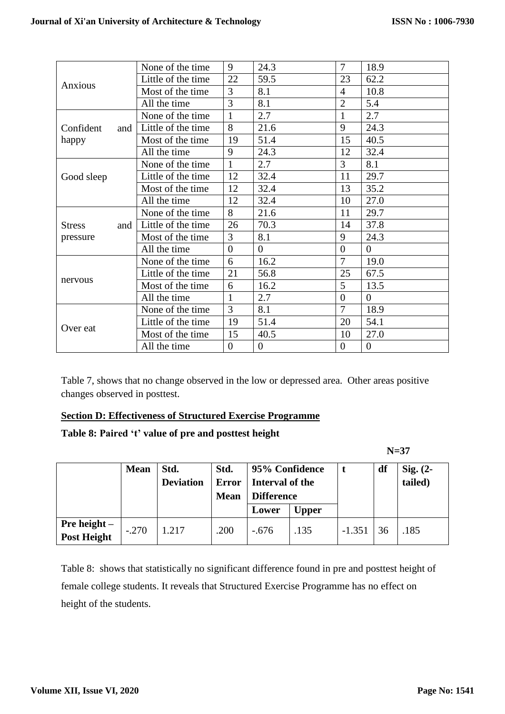|                      | None of the time   | 9              | 24.3           | $\overline{7}$ | 18.9           |
|----------------------|--------------------|----------------|----------------|----------------|----------------|
|                      | Little of the time | 22             | 59.5           | 23             | 62.2           |
| Anxious              | Most of the time   | 3              | 8.1            | 4              | 10.8           |
|                      | All the time       | 3              | 8.1            | $\overline{2}$ | 5.4            |
|                      | None of the time   | $\mathbf{1}$   | 2.7            | $\mathbf{1}$   | 2.7            |
| Confident<br>and     | Little of the time | 8              | 21.6           | 9              | 24.3           |
| happy                | Most of the time   | 19             | 51.4           | 15             | 40.5           |
|                      | All the time       | 9              | 24.3           | 12             | 32.4           |
|                      | None of the time   | $\mathbf{1}$   | 2.7            | 3              | 8.1            |
| Good sleep           | Little of the time | 12             | 32.4           | 11             | 29.7           |
|                      | Most of the time   | 12             | 32.4           | 13             | 35.2           |
|                      | All the time       | 12             | 32.4           | 10             | 27.0           |
|                      | None of the time   | 8              | 21.6           | 11             | 29.7           |
| <b>Stress</b><br>and | Little of the time | 26             | 70.3           | 14             | 37.8           |
| pressure             | Most of the time   | 3              | 8.1            | 9              | 24.3           |
|                      | All the time       | $\overline{0}$ | $\overline{0}$ | $\overline{0}$ | $\overline{0}$ |
|                      | None of the time   | 6              | 16.2           | $\overline{7}$ | 19.0           |
| nervous              | Little of the time | 21             | 56.8           | 25             | 67.5           |
|                      | Most of the time   | 6              | 16.2           | 5 <sup>5</sup> | 13.5           |
|                      | All the time       | 1              | 2.7            | $\overline{0}$ | $\overline{0}$ |
|                      | None of the time   | 3              | 8.1            | $\overline{7}$ | 18.9           |
| Over eat             | Little of the time | 19             | 51.4           | 20             | 54.1           |
|                      | Most of the time   | 15             | 40.5           | 10             | 27.0           |
|                      | All the time       | $\overline{0}$ | $\overline{0}$ | $\overline{0}$ | $\overline{0}$ |

Table 7, shows that no change observed in the low or depressed area. Other areas positive changes observed in posttest.

### **Section D: Effectiveness of Structured Exercise Programme**

# **Table 8: Paired 't' value of pre and posttest height**

 **N=37**

|                                                        | <b>Mean</b> | Std.<br><b>Deviation</b> | Std.<br><b>Error</b><br><b>Mean</b> | 95% Confidence<br>Interval of the<br><b>Difference</b><br>Lower | <b>Upper</b> |          | df | Sig. $(2-$<br>tailed) |
|--------------------------------------------------------|-------------|--------------------------|-------------------------------------|-----------------------------------------------------------------|--------------|----------|----|-----------------------|
| <b>Pre height <math>-</math></b><br><b>Post Height</b> | $-.270$     | 1.217                    | .200                                | $-.676$                                                         | .135         | $-1.351$ | 36 | .185                  |

Table 8: shows that statistically no significant difference found in pre and posttest height of female college students. It reveals that Structured Exercise Programme has no effect on height of the students.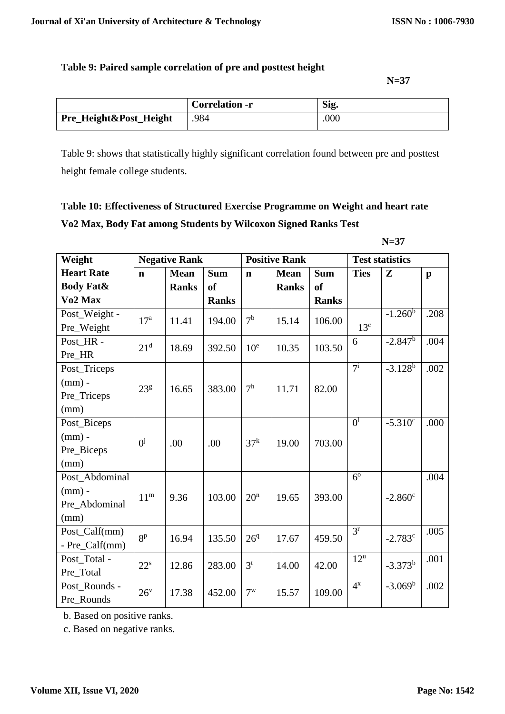# **Table 9: Paired sample correlation of pre and posttest height**

 **N=37**

|                        | <b>Correlation -r</b> | Sig. |
|------------------------|-----------------------|------|
| Pre_Height&Post_Height | 984                   | .000 |

Table 9: shows that statistically highly significant correlation found between pre and posttest height female college students.

# **Table 10: Effectiveness of Structured Exercise Programme on Weight and heart rate Vo2 Max, Body Fat among Students by Wilcoxon Signed Ranks Test**

 **N=37**

| Weight                                              | <b>Negative Rank</b>      |              |              |                 | <b>Positive Rank</b> |              | <b>Test statistics</b>      |                  |              |
|-----------------------------------------------------|---------------------------|--------------|--------------|-----------------|----------------------|--------------|-----------------------------|------------------|--------------|
| <b>Heart Rate</b>                                   | $\mathbf n$               | <b>Mean</b>  | <b>Sum</b>   | $\mathbf n$     | <b>Mean</b>          | <b>Sum</b>   | <b>Ties</b>                 | $\mathbf{Z}$     | $\mathbf{p}$ |
| <b>Body Fat&amp;</b>                                |                           | <b>Ranks</b> | <b>of</b>    |                 | <b>Ranks</b>         | <b>of</b>    |                             |                  |              |
| Vo <sub>2</sub> Max                                 |                           |              | <b>Ranks</b> |                 |                      | <b>Ranks</b> |                             |                  |              |
| Post_Weight -<br>Pre_Weight                         | 17 <sup>a</sup>           | 11.41        | 194.00       | 7 <sup>b</sup>  | 15.14                | 106.00       | 13 <sup>c</sup>             | $-1.260^b$       | .208         |
| Post_HR -<br>Pre_HR                                 | 21 <sup>d</sup>           | 18.69        | 392.50       | 10 <sup>e</sup> | 10.35                | 103.50       | 6                           | $-2.847^b$       | .004         |
| Post_Triceps<br>$(mm)$ -<br>Pre_Triceps<br>(mm)     | 23 <sup>g</sup>           | 16.65        | 383.00       | 7 <sup>h</sup>  | 11.71                | 82.00        | $7^{i}$                     | $-3.128^{b}$     | .002         |
| Post_Biceps<br>$(mm)$ -<br>Pre_Biceps<br>(mm)       | $\mathbf{0}^{\mathbf{j}}$ | .00          | .00          | 37 <sup>k</sup> | 19.00                | 703.00       | $\overline{0}$ <sup>1</sup> | $-5.310^c$       | .000         |
| Post_Abdominal<br>$(mm)$ -<br>Pre_Abdominal<br>(mm) | 11 <sup>m</sup>           | 9.36         | 103.00       | 20 <sup>n</sup> | 19.65                | 393.00       | 6 <sup>o</sup>              | $-2.860^{\circ}$ | .004         |
| Post_Calf(mm)<br>- Pre_Calf(mm)                     | 8 <sup>p</sup>            | 16.94        | 135.50       | 26 <sup>q</sup> | 17.67                | 459.50       | 3 <sup>r</sup>              | $-2.783c$        | .005         |
| Post Total -<br>Pre_Total                           | $22^s$                    | 12.86        | 283.00       | $3^t$           | 14.00                | 42.00        | $12^{\mathrm{u}}$           | $-3.373^{b}$     | .001         |
| Post_Rounds -<br>Pre Rounds                         | 26 <sup>v</sup>           | 17.38        | 452.00       | $7^w$           | 15.57                | 109.00       | $4^x$                       | $-3.069b$        | .002         |

b. Based on positive ranks.

c. Based on negative ranks.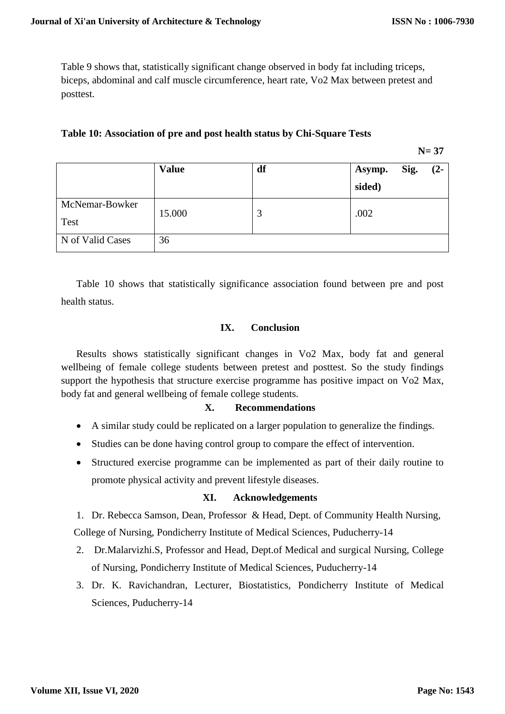Table 9 shows that, statistically significant change observed in body fat including triceps, biceps, abdominal and calf muscle circumference, heart rate, Vo2 Max between pretest and posttest.

# **Table 10: Association of pre and post health status by Chi-Square Tests**

**N= 37**

|                  | <b>Value</b> | df | Asymp. | Sig. | $(2 -$ |
|------------------|--------------|----|--------|------|--------|
|                  |              |    | sided) |      |        |
| McNemar-Bowker   | 15.000       | 3  | .002   |      |        |
| Test             |              |    |        |      |        |
| N of Valid Cases | 36           |    |        |      |        |

Table 10 shows that statistically significance association found between pre and post health status.

#### **IX. Conclusion**

Results shows statistically significant changes in Vo2 Max, body fat and general wellbeing of female college students between pretest and posttest. So the study findings support the hypothesis that structure exercise programme has positive impact on Vo2 Max, body fat and general wellbeing of female college students.

### **X. Recommendations**

- A similar study could be replicated on a larger population to generalize the findings.
- Studies can be done having control group to compare the effect of intervention.
- Structured exercise programme can be implemented as part of their daily routine to promote physical activity and prevent lifestyle diseases.

# **XI. Acknowledgements**

1. Dr. Rebecca Samson, Dean, Professor & Head, Dept. of Community Health Nursing,

College of Nursing, Pondicherry Institute of Medical Sciences, Puducherry-14

- 2. Dr.Malarvizhi.S, Professor and Head, Dept.of Medical and surgical Nursing, College of Nursing, Pondicherry Institute of Medical Sciences, Puducherry-14
- 3. Dr. K. Ravichandran, Lecturer, Biostatistics, Pondicherry Institute of Medical Sciences, Puducherry-14